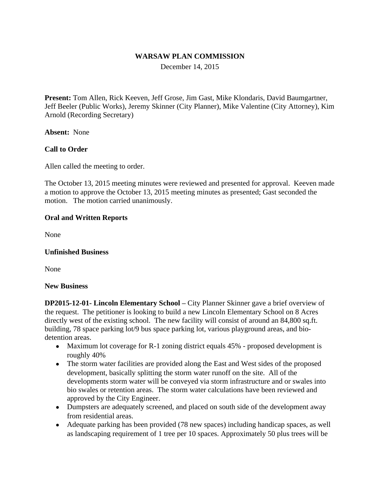#### **WARSAW PLAN COMMISSION**

December 14, 2015

**Present:** Tom Allen, Rick Keeven, Jeff Grose, Jim Gast, Mike Klondaris, David Baumgartner, Jeff Beeler (Public Works), Jeremy Skinner (City Planner), Mike Valentine (City Attorney), Kim Arnold (Recording Secretary)

**Absent:** None

## **Call to Order**

Allen called the meeting to order.

The October 13, 2015 meeting minutes were reviewed and presented for approval. Keeven made a motion to approve the October 13, 2015 meeting minutes as presented; Gast seconded the motion. The motion carried unanimously.

## **Oral and Written Reports**

None

## **Unfinished Business**

None

#### **New Business**

**DP2015-12-01- Lincoln Elementary School –** City Planner Skinner gave a brief overview of the request. The petitioner is looking to build a new Lincoln Elementary School on 8 Acres directly west of the existing school. The new facility will consist of around an 84,800 sq.ft. building, 78 space parking lot/9 bus space parking lot, various playground areas, and biodetention areas.

- Maximum lot coverage for R-1 zoning district equals 45% proposed development is roughly 40%
- The storm water facilities are provided along the East and West sides of the proposed development, basically splitting the storm water runoff on the site. All of the developments storm water will be conveyed via storm infrastructure and or swales into bio swales or retention areas. The storm water calculations have been reviewed and approved by the City Engineer.
- Dumpsters are adequately screened, and placed on south side of the development away from residential areas.
- Adequate parking has been provided (78 new spaces) including handicap spaces, as well as landscaping requirement of 1 tree per 10 spaces. Approximately 50 plus trees will be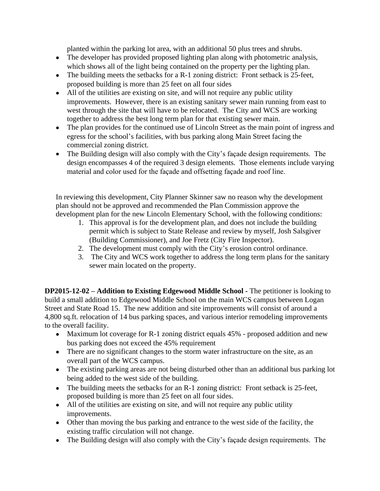planted within the parking lot area, with an additional 50 plus trees and shrubs.

- The developer has provided proposed lighting plan along with photometric analysis, which shows all of the light being contained on the property per the lighting plan.
- The building meets the setbacks for a R-1 zoning district: Front setback is 25-feet, proposed building is more than 25 feet on all four sides
- All of the utilities are existing on site, and will not require any public utility improvements. However, there is an existing sanitary sewer main running from east to west through the site that will have to be relocated. The City and WCS are working together to address the best long term plan for that existing sewer main.
- The plan provides for the continued use of Lincoln Street as the main point of ingress and egress for the school's facilities, with bus parking along Main Street facing the commercial zoning district.
- The Building design will also comply with the City's façade design requirements. The design encompasses 4 of the required 3 design elements. Those elements include varying material and color used for the façade and offsetting façade and roof line.

In reviewing this development, City Planner Skinner saw no reason why the development plan should not be approved and recommended the Plan Commission approve the development plan for the new Lincoln Elementary School, with the following conditions:

- 1. This approval is for the development plan, and does not include the building permit which is subject to State Release and review by myself, Josh Salsgiver (Building Commissioner), and Joe Fretz (City Fire Inspector).
- 2. The development must comply with the City's erosion control ordinance.
- 3. The City and WCS work together to address the long term plans for the sanitary sewer main located on the property.

**DP2015-12-02 – Addition to Existing Edgewood Middle School -** The petitioner is looking to build a small addition to Edgewood Middle School on the main WCS campus between Logan Street and State Road 15. The new addition and site improvements will consist of around a 4,800 sq.ft. relocation of 14 bus parking spaces, and various interior remodeling improvements to the overall facility.

- Maximum lot coverage for R-1 zoning district equals 45% proposed addition and new bus parking does not exceed the 45% requirement
- There are no significant changes to the storm water infrastructure on the site, as an overall part of the WCS campus.
- The existing parking areas are not being disturbed other than an additional bus parking lot being added to the west side of the building.
- The building meets the setbacks for an R-1 zoning district: Front setback is 25-feet, proposed building is more than 25 feet on all four sides.
- All of the utilities are existing on site, and will not require any public utility improvements.
- Other than moving the bus parking and entrance to the west side of the facility, the existing traffic circulation will not change.
- The Building design will also comply with the City's façade design requirements. The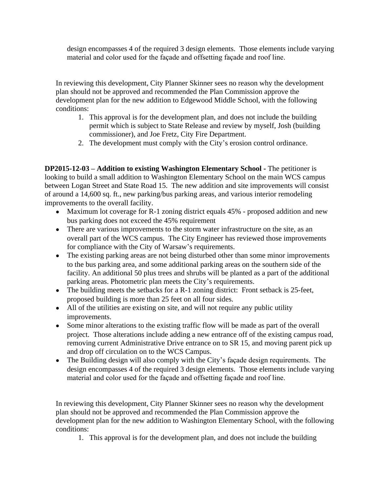design encompasses 4 of the required 3 design elements. Those elements include varying material and color used for the façade and offsetting façade and roof line.

In reviewing this development, City Planner Skinner sees no reason why the development plan should not be approved and recommended the Plan Commission approve the development plan for the new addition to Edgewood Middle School, with the following conditions:

- 1. This approval is for the development plan, and does not include the building permit which is subject to State Release and review by myself, Josh (building commissioner), and Joe Fretz, City Fire Department.
- 2. The development must comply with the City's erosion control ordinance.

**DP2015-12-03 – Addition to existing Washington Elementary School -** The petitioner is looking to build a small addition to Washington Elementary School on the main WCS campus between Logan Street and State Road 15. The new addition and site improvements will consist of around a 14,600 sq. ft., new parking/bus parking areas, and various interior remodeling improvements to the overall facility.

- Maximum lot coverage for R-1 zoning district equals 45% proposed addition and new bus parking does not exceed the 45% requirement
- There are various improvements to the storm water infrastructure on the site, as an overall part of the WCS campus. The City Engineer has reviewed those improvements for compliance with the City of Warsaw's requirements.
- The existing parking areas are not being disturbed other than some minor improvements to the bus parking area, and some additional parking areas on the southern side of the facility. An additional 50 plus trees and shrubs will be planted as a part of the additional parking areas. Photometric plan meets the City's requirements.
- The building meets the setbacks for a R-1 zoning district: Front setback is 25-feet, proposed building is more than 25 feet on all four sides.
- All of the utilities are existing on site, and will not require any public utility improvements.
- Some minor alterations to the existing traffic flow will be made as part of the overall project. Those alterations include adding a new entrance off of the existing campus road, removing current Administrative Drive entrance on to SR 15, and moving parent pick up and drop off circulation on to the WCS Campus.
- The Building design will also comply with the City's façade design requirements. The design encompasses 4 of the required 3 design elements. Those elements include varying material and color used for the façade and offsetting façade and roof line.

In reviewing this development, City Planner Skinner sees no reason why the development plan should not be approved and recommended the Plan Commission approve the development plan for the new addition to Washington Elementary School, with the following conditions:

1. This approval is for the development plan, and does not include the building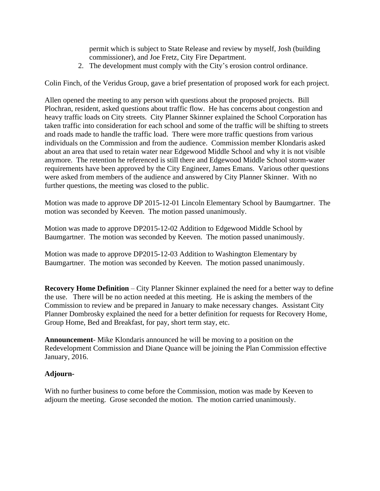permit which is subject to State Release and review by myself, Josh (building commissioner), and Joe Fretz, City Fire Department.

2. The development must comply with the City's erosion control ordinance.

Colin Finch, of the Veridus Group, gave a brief presentation of proposed work for each project.

Allen opened the meeting to any person with questions about the proposed projects. Bill Plochran, resident, asked questions about traffic flow. He has concerns about congestion and heavy traffic loads on City streets. City Planner Skinner explained the School Corporation has taken traffic into consideration for each school and some of the traffic will be shifting to streets and roads made to handle the traffic load. There were more traffic questions from various individuals on the Commission and from the audience. Commission member Klondaris asked about an area that used to retain water near Edgewood Middle School and why it is not visible anymore. The retention he referenced is still there and Edgewood Middle School storm-water requirements have been approved by the City Engineer, James Emans. Various other questions were asked from members of the audience and answered by City Planner Skinner. With no further questions, the meeting was closed to the public.

Motion was made to approve DP 2015-12-01 Lincoln Elementary School by Baumgartner. The motion was seconded by Keeven. The motion passed unanimously.

Motion was made to approve DP2015-12-02 Addition to Edgewood Middle School by Baumgartner. The motion was seconded by Keeven. The motion passed unanimously.

Motion was made to approve DP2015-12-03 Addition to Washington Elementary by Baumgartner. The motion was seconded by Keeven. The motion passed unanimously.

**Recovery Home Definition** – City Planner Skinner explained the need for a better way to define the use. There will be no action needed at this meeting. He is asking the members of the Commission to review and be prepared in January to make necessary changes. Assistant City Planner Dombrosky explained the need for a better definition for requests for Recovery Home, Group Home, Bed and Breakfast, for pay, short term stay, etc.

**Announcement**- Mike Klondaris announced he will be moving to a position on the Redevelopment Commission and Diane Quance will be joining the Plan Commission effective January, 2016.

## **Adjourn-**

With no further business to come before the Commission, motion was made by Keeven to adjourn the meeting. Grose seconded the motion. The motion carried unanimously.